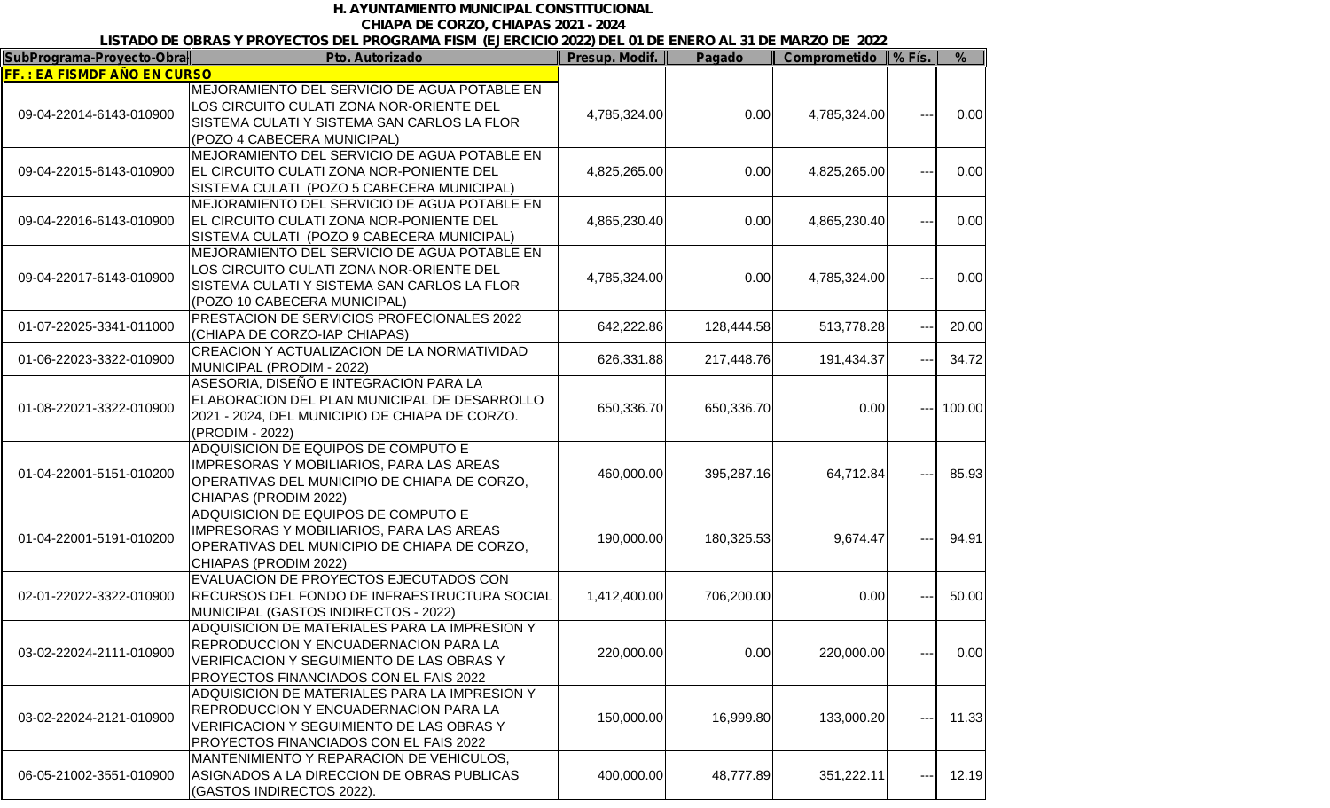## *H. AYUNTAMIENTO MUNICIPAL CONSTITUCIONAL CHIAPA DE CORZO, CHIAPAS 2021 - 2024*

## *LISTADO DE OBRAS Y PROYECTOS DEL PROGRAMA FISM (EJERCICIO 2022) DEL 01 DE ENERO AL 31 DE MARZO DE 2022*

| SubPrograma-Proyecto-Obra          | <u>LIGHTLE OF COMPUTER OF DELTROGRAMM HOME (LULROIGIO LULL) DEL UT DE LINERO AL UT DE MARCO I</u><br>Pto. Autorizado                                                                 | Presup. Modif. | Pagado     | Comprometido   % Fís. |                      | $\frac{9}{6}$ |
|------------------------------------|--------------------------------------------------------------------------------------------------------------------------------------------------------------------------------------|----------------|------------|-----------------------|----------------------|---------------|
| <b>FF.: EA FISMDF AÑO EN CURSO</b> |                                                                                                                                                                                      |                |            |                       |                      |               |
| 09-04-22014-6143-010900            | MEJORAMIENTO DEL SERVICIO DE AGUA POTABLE EN<br>LOS CIRCUITO CULATI ZONA NOR-ORIENTE DEL<br>SISTEMA CULATI Y SISTEMA SAN CARLOS LA FLOR<br>(POZO 4 CABECERA MUNICIPAL)               | 4,785,324.00   | 0.00       | 4,785,324.00          |                      | 0.00          |
| 09-04-22015-6143-010900            | MEJORAMIENTO DEL SERVICIO DE AGUA POTABLE EN<br>EL CIRCUITO CULATI ZONA NOR-PONIENTE DEL<br>SISTEMA CULATI (POZO 5 CABECERA MUNICIPAL)                                               | 4,825,265.00   | 0.00       | 4,825,265.00          | $---$                | 0.00          |
| 09-04-22016-6143-010900            | MEJORAMIENTO DEL SERVICIO DE AGUA POTABLE EN<br>EL CIRCUITO CULATI ZONA NOR-PONIENTE DEL<br>SISTEMA CULATI (POZO 9 CABECERA MUNICIPAL)                                               | 4,865,230.40   | 0.00       | 4,865,230.40          |                      | 0.00          |
| 09-04-22017-6143-010900            | MEJORAMIENTO DEL SERVICIO DE AGUA POTABLE EN<br>LOS CIRCUITO CULATI ZONA NOR-ORIENTE DEL<br>SISTEMA CULATI Y SISTEMA SAN CARLOS LA FLOR<br>(POZO 10 CABECERA MUNICIPAL)              | 4,785,324.00   | 0.00       | 4,785,324.00          |                      | 0.00          |
| 01-07-22025-3341-011000            | PRESTACION DE SERVICIOS PROFECIONALES 2022<br>(CHIAPA DE CORZO-IAP CHIAPAS)                                                                                                          | 642,222.86     | 128,444.58 | 513,778.28            |                      | 20.00         |
| 01-06-22023-3322-010900            | CREACION Y ACTUALIZACION DE LA NORMATIVIDAD<br>MUNICIPAL (PRODIM - 2022)                                                                                                             | 626,331.88     | 217,448.76 | 191,434.37            |                      | 34.72         |
| 01-08-22021-3322-010900            | ASESORIA, DISEÑO E INTEGRACION PARA LA<br>ELABORACION DEL PLAN MUNICIPAL DE DESARROLLO<br>2021 - 2024, DEL MUNICIPIO DE CHIAPA DE CORZO.<br>(PRODIM - 2022)                          | 650,336.70     | 650,336.70 | 0.00                  |                      | 100.00        |
| 01-04-22001-5151-010200            | ADQUISICION DE EQUIPOS DE COMPUTO E<br>IMPRESORAS Y MOBILIARIOS, PARA LAS AREAS<br>OPERATIVAS DEL MUNICIPIO DE CHIAPA DE CORZO,<br>CHIAPAS (PRODIM 2022)                             | 460,000.00     | 395,287.16 | 64,712.84             |                      | 85.93         |
| 01-04-22001-5191-010200            | ADQUISICION DE EQUIPOS DE COMPUTO E<br><b>IMPRESORAS Y MOBILIARIOS, PARA LAS AREAS</b><br>OPERATIVAS DEL MUNICIPIO DE CHIAPA DE CORZO,<br>CHIAPAS (PRODIM 2022)                      | 190,000.00     | 180,325.53 | 9,674.47              |                      | 94.91         |
| 02-01-22022-3322-010900            | EVALUACION DE PROYECTOS EJECUTADOS CON<br>RECURSOS DEL FONDO DE INFRAESTRUCTURA SOCIAL<br>MUNICIPAL (GASTOS INDIRECTOS - 2022)                                                       | 1,412,400.00   | 706,200.00 | 0.00                  |                      | 50.00         |
| 03-02-22024-2111-010900            | ADQUISICION DE MATERIALES PARA LA IMPRESION Y<br>REPRODUCCION Y ENCUADERNACION PARA LA<br>VERIFICACION Y SEGUIMIENTO DE LAS OBRAS Y<br>PROYECTOS FINANCIADOS CON EL FAIS 2022        | 220,000.00     | 0.00       | 220,000.00            | $---$                | 0.00          |
| 03-02-22024-2121-010900            | ADQUISICION DE MATERIALES PARA LA IMPRESION Y<br>REPRODUCCION Y ENCUADERNACION PARA LA<br>VERIFICACION Y SEGUIMIENTO DE LAS OBRAS Y<br><b>PROYECTOS FINANCIADOS CON EL FAIS 2022</b> | 150,000.00     | 16,999.80  | 133,000.20            | $\sim$ $\sim$ $\sim$ | 11.33         |
| 06-05-21002-3551-010900            | MANTENIMIENTO Y REPARACION DE VEHICULOS.<br>ASIGNADOS A LA DIRECCION DE OBRAS PUBLICAS<br>(GASTOS INDIRECTOS 2022).                                                                  | 400,000.00     | 48,777.89  | 351,222.11            | $--$                 | 12.19         |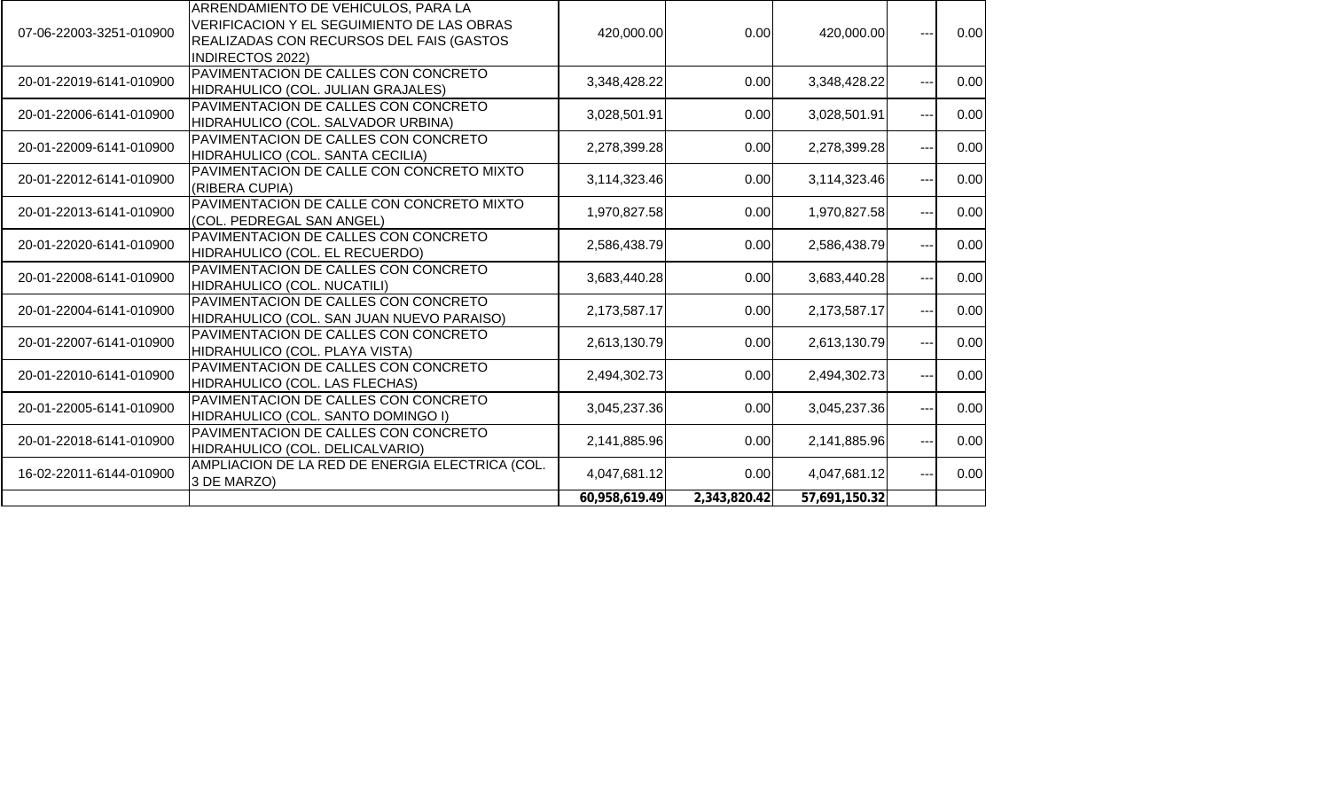| 07-06-22003-3251-010900 | ARRENDAMIENTO DE VEHICULOS, PARA LA<br>VERIFICACION Y EL SEGUIMIENTO DE LAS OBRAS<br>REALIZADAS CON RECURSOS DEL FAIS (GASTOS<br><b>INDIRECTOS 2022)</b> | 420,000.00    | 0.00         | 420,000.00    | ---               | 0.00 |
|-------------------------|----------------------------------------------------------------------------------------------------------------------------------------------------------|---------------|--------------|---------------|-------------------|------|
| 20-01-22019-6141-010900 | PAVIMENTACION DE CALLES CON CONCRETO<br>HIDRAHULICO (COL. JULIAN GRAJALES)                                                                               | 3,348,428.22  | 0.00         | 3,348,428.22  | $\frac{1}{2}$     | 0.00 |
| 20-01-22006-6141-010900 | PAVIMENTACION DE CALLES CON CONCRETO<br>HIDRAHULICO (COL. SALVADOR URBINA)                                                                               | 3,028,501.91  | 0.00         | 3,028,501.91  | $---$             | 0.00 |
| 20-01-22009-6141-010900 | PAVIMENTACION DE CALLES CON CONCRETO<br>HIDRAHULICO (COL. SANTA CECILIA)                                                                                 | 2,278,399.28  | 0.00         | 2,278,399.28  | $---$             | 0.00 |
| 20-01-22012-6141-010900 | PAVIMENTACION DE CALLE CON CONCRETO MIXTO<br>(RIBERA CUPIA)                                                                                              | 3,114,323.46  | 0.00         | 3,114,323.46  | $\qquad \qquad -$ | 0.00 |
| 20-01-22013-6141-010900 | PAVIMENTACION DE CALLE CON CONCRETO MIXTO<br>(COL. PEDREGAL SAN ANGEL)                                                                                   | 1,970,827.58  | 0.00         | 1,970,827.58  | $---$             | 0.00 |
| 20-01-22020-6141-010900 | PAVIMENTACION DE CALLES CON CONCRETO<br>HIDRAHULICO (COL. EL RECUERDO)                                                                                   | 2,586,438.79  | 0.00         | 2,586,438.79  | $\frac{1}{2}$     | 0.00 |
| 20-01-22008-6141-010900 | PAVIMENTACION DE CALLES CON CONCRETO<br>HIDRAHULICO (COL. NUCATILI)                                                                                      | 3,683,440.28  | 0.00         | 3,683,440.28  | $\frac{1}{2}$     | 0.00 |
| 20-01-22004-6141-010900 | PAVIMENTACION DE CALLES CON CONCRETO<br>HIDRAHULICO (COL. SAN JUAN NUEVO PARAISO)                                                                        | 2,173,587.17  | 0.00         | 2,173,587.17  | $---$             | 0.00 |
| 20-01-22007-6141-010900 | PAVIMENTACION DE CALLES CON CONCRETO<br>HIDRAHULICO (COL. PLAYA VISTA)                                                                                   | 2,613,130.79  | 0.00         | 2,613,130.79  | $\qquad \qquad -$ | 0.00 |
| 20-01-22010-6141-010900 | PAVIMENTACION DE CALLES CON CONCRETO<br>HIDRAHULICO (COL. LAS FLECHAS)                                                                                   | 2,494,302.73  | 0.00         | 2,494,302.73  | $\sim$ $\sim$     | 0.00 |
| 20-01-22005-6141-010900 | PAVIMENTACION DE CALLES CON CONCRETO<br>HIDRAHULICO (COL. SANTO DOMINGO I)                                                                               | 3,045,237.36  | 0.00         | 3,045,237.36  |                   | 0.00 |
| 20-01-22018-6141-010900 | PAVIMENTACION DE CALLES CON CONCRETO<br>HIDRAHULICO (COL. DELICALVARIO)                                                                                  | 2,141,885.96  | 0.00         | 2,141,885.96  | $---$             | 0.00 |
| 16-02-22011-6144-010900 | AMPLIACION DE LA RED DE ENERGIA ELECTRICA (COL.<br>3 DE MARZO)                                                                                           | 4,047,681.12  | 0.00         | 4,047,681.12  | $---$             | 0.00 |
|                         |                                                                                                                                                          | 60,958,619.49 | 2,343,820.42 | 57,691,150.32 |                   |      |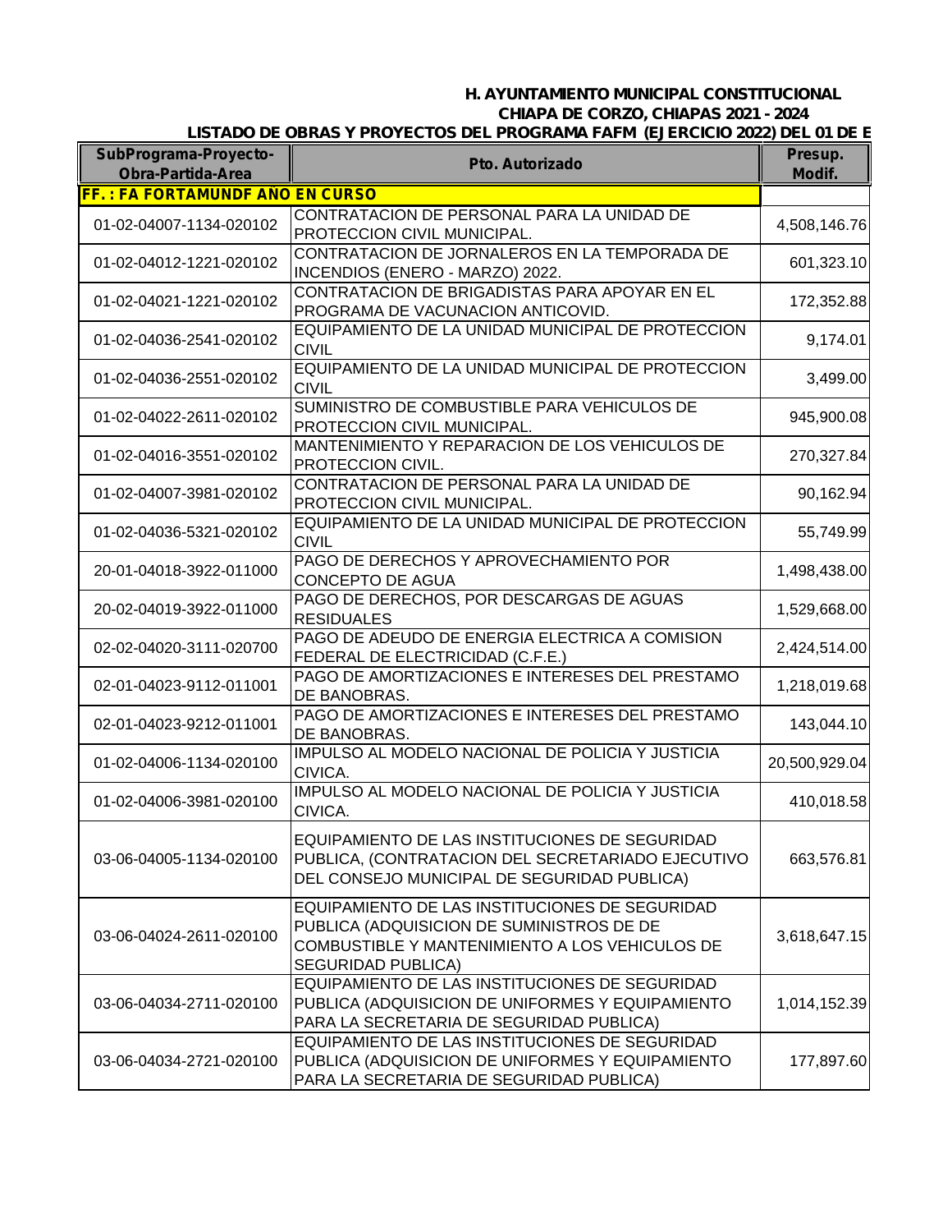## *H. AYUNTAMIENTO MUNICIPAL CONSTITUCIONAL CHIAPA DE CORZO, CHIAPAS 2021 - 2024 LISTADO DE OBRAS Y PROYECTOS DEL PROGRAMA FAFM (EJERCICIO 2022) DEL 01 DE E*

| SubPrograma-Proyecto-<br><b>Obra-Partida-Area</b> | <b>Pto. Autorizado</b>                                                                                                                                                     | Presup.<br>Modif. |
|---------------------------------------------------|----------------------------------------------------------------------------------------------------------------------------------------------------------------------------|-------------------|
| <b>FF.: FA FORTAMUNDF ANO EN CURSO</b>            |                                                                                                                                                                            |                   |
| 01-02-04007-1134-020102                           | CONTRATACION DE PERSONAL PARA LA UNIDAD DE<br>PROTECCION CIVIL MUNICIPAL.                                                                                                  | 4,508,146.76      |
| 01-02-04012-1221-020102                           | CONTRATACION DE JORNALEROS EN LA TEMPORADA DE<br>INCENDIOS (ENERO - MARZO) 2022.                                                                                           | 601,323.10        |
| 01-02-04021-1221-020102                           | CONTRATACION DE BRIGADISTAS PARA APOYAR EN EL<br>PROGRAMA DE VACUNACION ANTICOVID.                                                                                         | 172,352.88        |
| 01-02-04036-2541-020102                           | EQUIPAMIENTO DE LA UNIDAD MUNICIPAL DE PROTECCION<br><b>CIVIL</b>                                                                                                          | 9,174.01          |
| 01-02-04036-2551-020102                           | EQUIPAMIENTO DE LA UNIDAD MUNICIPAL DE PROTECCION<br><b>CIVIL</b>                                                                                                          | 3,499.00          |
| 01-02-04022-2611-020102                           | SUMINISTRO DE COMBUSTIBLE PARA VEHICULOS DE<br>PROTECCION CIVIL MUNICIPAL.                                                                                                 | 945,900.08        |
| 01-02-04016-3551-020102                           | MANTENIMIENTO Y REPARACION DE LOS VEHICULOS DE<br>PROTECCION CIVIL.                                                                                                        | 270,327.84        |
| 01-02-04007-3981-020102                           | CONTRATACION DE PERSONAL PARA LA UNIDAD DE<br>PROTECCION CIVIL MUNICIPAL.                                                                                                  | 90,162.94         |
| 01-02-04036-5321-020102                           | EQUIPAMIENTO DE LA UNIDAD MUNICIPAL DE PROTECCION<br><b>CIVIL</b>                                                                                                          | 55,749.99         |
| 20-01-04018-3922-011000                           | PAGO DE DERECHOS Y APROVECHAMIENTO POR<br><b>CONCEPTO DE AGUA</b>                                                                                                          | 1,498,438.00      |
| 20-02-04019-3922-011000                           | PAGO DE DERECHOS, POR DESCARGAS DE AGUAS<br><b>RESIDUALES</b>                                                                                                              | 1,529,668.00      |
| 02-02-04020-3111-020700                           | PAGO DE ADEUDO DE ENERGIA ELECTRICA A COMISION<br>FEDERAL DE ELECTRICIDAD (C.F.E.)                                                                                         | 2,424,514.00      |
| 02-01-04023-9112-011001                           | PAGO DE AMORTIZACIONES E INTERESES DEL PRESTAMO<br>DE BANOBRAS.                                                                                                            | 1,218,019.68      |
| 02-01-04023-9212-011001                           | PAGO DE AMORTIZACIONES E INTERESES DEL PRESTAMO<br>DE BANOBRAS.                                                                                                            | 143,044.10        |
| 01-02-04006-1134-020100                           | IMPULSO AL MODELO NACIONAL DE POLICIA Y JUSTICIA<br>CIVICA.                                                                                                                | 20,500,929.04     |
| 01-02-04006-3981-020100                           | IMPULSO AL MODELO NACIONAL DE POLICIA Y JUSTICIA<br>CIVICA.                                                                                                                | 410,018.58        |
| 03-06-04005-1134-020100                           | EQUIPAMIENTO DE LAS INSTITUCIONES DE SEGURIDAD<br>PUBLICA, (CONTRATACION DEL SECRETARIADO EJECUTIVO<br>DEL CONSEJO MUNICIPAL DE SEGURIDAD PUBLICA)                         | 663,576.81        |
| 03-06-04024-2611-020100                           | EQUIPAMIENTO DE LAS INSTITUCIONES DE SEGURIDAD<br>PUBLICA (ADQUISICION DE SUMINISTROS DE DE<br>COMBUSTIBLE Y MANTENIMIENTO A LOS VEHICULOS DE<br><b>SEGURIDAD PUBLICA)</b> | 3,618,647.15      |
| 03-06-04034-2711-020100                           | EQUIPAMIENTO DE LAS INSTITUCIONES DE SEGURIDAD<br>PUBLICA (ADQUISICION DE UNIFORMES Y EQUIPAMIENTO<br>PARA LA SECRETARIA DE SEGURIDAD PUBLICA)                             | 1,014,152.39      |
| 03-06-04034-2721-020100                           | EQUIPAMIENTO DE LAS INSTITUCIONES DE SEGURIDAD<br>PUBLICA (ADQUISICION DE UNIFORMES Y EQUIPAMIENTO<br>PARA LA SECRETARIA DE SEGURIDAD PUBLICA)                             | 177,897.60        |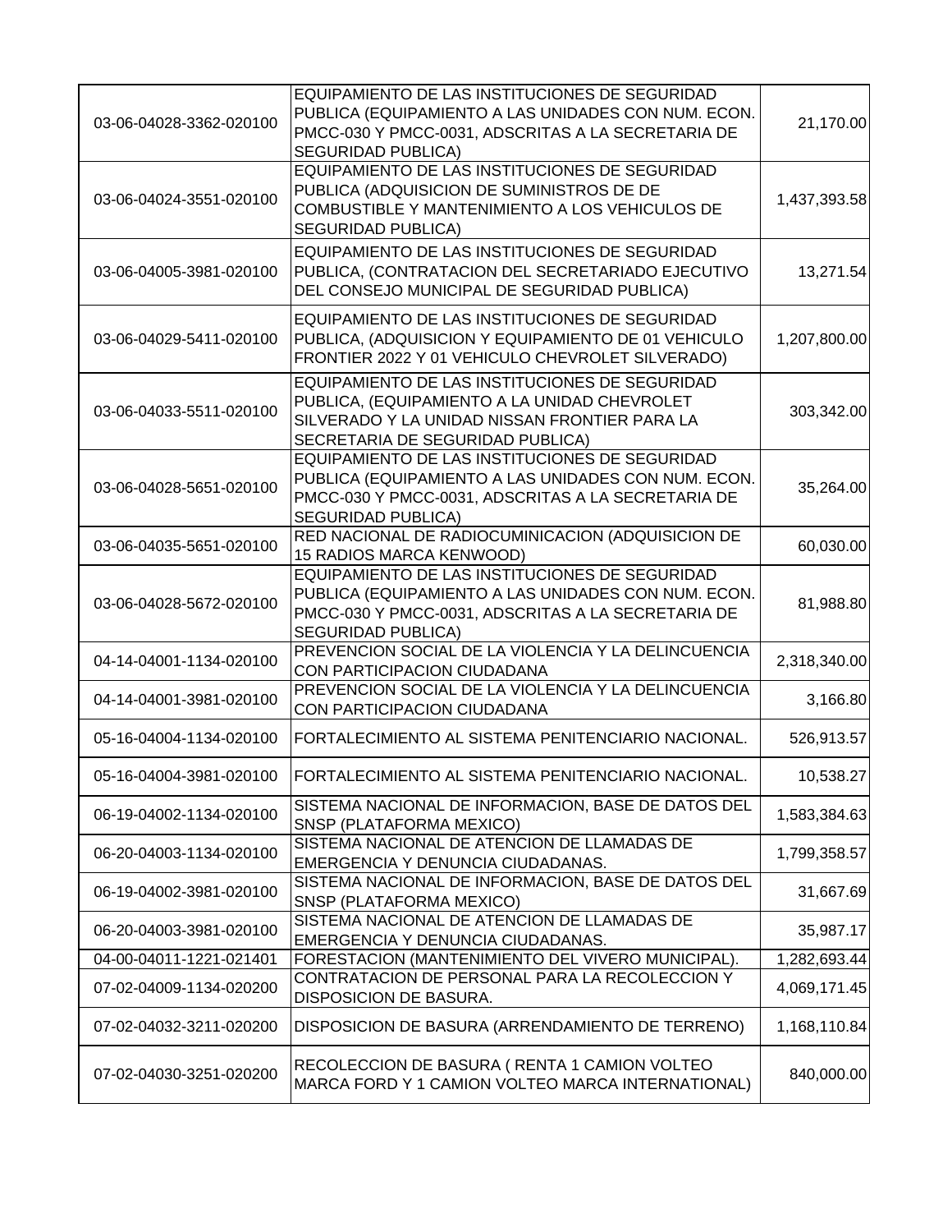| 03-06-04028-3362-020100 | EQUIPAMIENTO DE LAS INSTITUCIONES DE SEGURIDAD<br>PUBLICA (EQUIPAMIENTO A LAS UNIDADES CON NUM. ECON.<br>PMCC-030 Y PMCC-0031, ADSCRITAS A LA SECRETARIA DE<br><b>SEGURIDAD PUBLICA)</b> | 21,170.00    |
|-------------------------|------------------------------------------------------------------------------------------------------------------------------------------------------------------------------------------|--------------|
| 03-06-04024-3551-020100 | EQUIPAMIENTO DE LAS INSTITUCIONES DE SEGURIDAD<br>PUBLICA (ADQUISICION DE SUMINISTROS DE DE<br>COMBUSTIBLE Y MANTENIMIENTO A LOS VEHICULOS DE<br><b>SEGURIDAD PUBLICA)</b>               | 1,437,393.58 |
| 03-06-04005-3981-020100 | EQUIPAMIENTO DE LAS INSTITUCIONES DE SEGURIDAD<br>PUBLICA, (CONTRATACION DEL SECRETARIADO EJECUTIVO<br>DEL CONSEJO MUNICIPAL DE SEGURIDAD PUBLICA)                                       | 13,271.54    |
| 03-06-04029-5411-020100 | EQUIPAMIENTO DE LAS INSTITUCIONES DE SEGURIDAD<br>PUBLICA, (ADQUISICION Y EQUIPAMIENTO DE 01 VEHICULO<br>FRONTIER 2022 Y 01 VEHICULO CHEVROLET SILVERADO)                                | 1,207,800.00 |
| 03-06-04033-5511-020100 | EQUIPAMIENTO DE LAS INSTITUCIONES DE SEGURIDAD<br>PUBLICA, (EQUIPAMIENTO A LA UNIDAD CHEVROLET<br>SILVERADO Y LA UNIDAD NISSAN FRONTIER PARA LA<br>SECRETARIA DE SEGURIDAD PUBLICA)      | 303,342.00   |
| 03-06-04028-5651-020100 | EQUIPAMIENTO DE LAS INSTITUCIONES DE SEGURIDAD<br>PUBLICA (EQUIPAMIENTO A LAS UNIDADES CON NUM. ECON.<br>PMCC-030 Y PMCC-0031, ADSCRITAS A LA SECRETARIA DE<br><b>SEGURIDAD PUBLICA)</b> | 35,264.00    |
| 03-06-04035-5651-020100 | RED NACIONAL DE RADIOCUMINICACION (ADQUISICION DE<br>15 RADIOS MARCA KENWOOD)                                                                                                            | 60,030.00    |
| 03-06-04028-5672-020100 | EQUIPAMIENTO DE LAS INSTITUCIONES DE SEGURIDAD<br>PUBLICA (EQUIPAMIENTO A LAS UNIDADES CON NUM. ECON.<br>PMCC-030 Y PMCC-0031, ADSCRITAS A LA SECRETARIA DE<br><b>SEGURIDAD PUBLICA)</b> | 81,988.80    |
| 04-14-04001-1134-020100 | PREVENCION SOCIAL DE LA VIOLENCIA Y LA DELINCUENCIA<br>CON PARTICIPACION CIUDADANA                                                                                                       | 2,318,340.00 |
| 04-14-04001-3981-020100 | PREVENCION SOCIAL DE LA VIOLENCIA Y LA DELINCUENCIA<br>CON PARTICIPACION CIUDADANA                                                                                                       | 3,166.80     |
| 05-16-04004-1134-020100 | FORTALECIMIENTO AL SISTEMA PENITENCIARIO NACIONAL.                                                                                                                                       | 526,913.57   |
| 05-16-04004-3981-020100 | IFORTALECIMIENTO AL SISTEMA PENITENCIARIO NACIONAL                                                                                                                                       | 10,538.27    |
| 06-19-04002-1134-020100 | SISTEMA NACIONAL DE INFORMACION, BASE DE DATOS DEL<br>SNSP (PLATAFORMA MEXICO)                                                                                                           | 1,583,384.63 |
| 06-20-04003-1134-020100 | SISTEMA NACIONAL DE ATENCION DE LLAMADAS DE<br>EMERGENCIA Y DENUNCIA CIUDADANAS.                                                                                                         | 1,799,358.57 |
| 06-19-04002-3981-020100 | SISTEMA NACIONAL DE INFORMACION, BASE DE DATOS DEL<br>SNSP (PLATAFORMA MEXICO)                                                                                                           | 31,667.69    |
| 06-20-04003-3981-020100 | SISTEMA NACIONAL DE ATENCION DE LLAMADAS DE<br>EMERGENCIA Y DENUNCIA CIUDADANAS.                                                                                                         | 35,987.17    |
| 04-00-04011-1221-021401 | FORESTACION (MANTENIMIENTO DEL VIVERO MUNICIPAL)                                                                                                                                         | 1,282,693.44 |
| 07-02-04009-1134-020200 | CONTRATACION DE PERSONAL PARA LA RECOLECCION Y<br>DISPOSICION DE BASURA.                                                                                                                 | 4,069,171.45 |
| 07-02-04032-3211-020200 | DISPOSICION DE BASURA (ARRENDAMIENTO DE TERRENO)                                                                                                                                         | 1,168,110.84 |
| 07-02-04030-3251-020200 | RECOLECCION DE BASURA ( RENTA 1 CAMION VOLTEO<br>MARCA FORD Y 1 CAMION VOLTEO MARCA INTERNATIONAL)                                                                                       | 840,000.00   |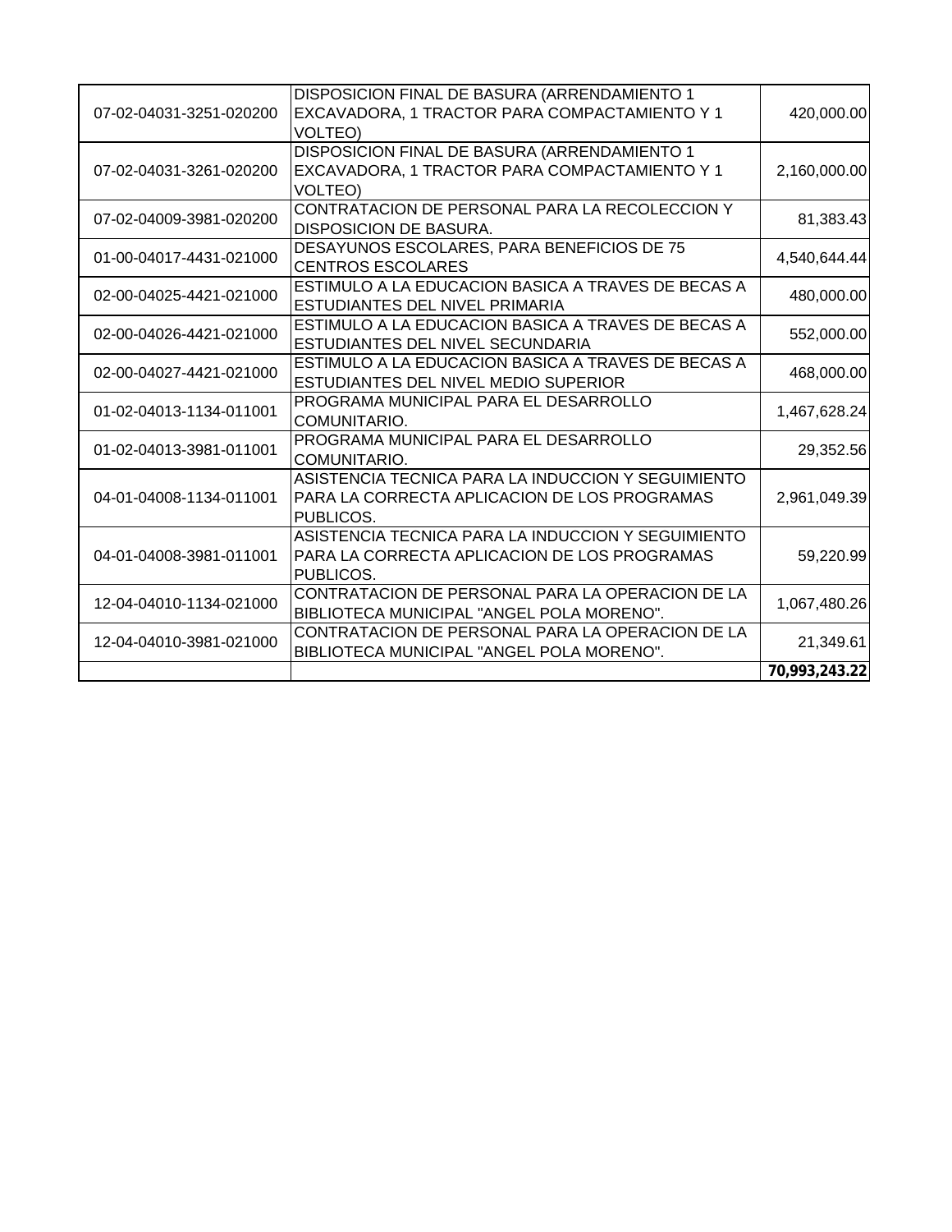|                         | DISPOSICION FINAL DE BASURA (ARRENDAMIENTO 1       |               |
|-------------------------|----------------------------------------------------|---------------|
| 07-02-04031-3251-020200 | EXCAVADORA, 1 TRACTOR PARA COMPACTAMIENTO Y 1      | 420,000.00    |
|                         | VOLTEO)                                            |               |
|                         | DISPOSICION FINAL DE BASURA (ARRENDAMIENTO 1       |               |
| 07-02-04031-3261-020200 | EXCAVADORA, 1 TRACTOR PARA COMPACTAMIENTO Y 1      | 2,160,000.00  |
|                         | VOLTEO)                                            |               |
|                         | CONTRATACION DE PERSONAL PARA LA RECOLECCION Y     |               |
| 07-02-04009-3981-020200 | <b>DISPOSICION DE BASURA.</b>                      | 81,383.43     |
|                         | DESAYUNOS ESCOLARES, PARA BENEFICIOS DE 75         |               |
| 01-00-04017-4431-021000 | <b>CENTROS ESCOLARES</b>                           | 4,540,644.44  |
|                         | ESTIMULO A LA EDUCACION BASICA A TRAVES DE BECAS A |               |
| 02-00-04025-4421-021000 | ESTUDIANTES DEL NIVEL PRIMARIA                     | 480,000.00    |
|                         | ESTIMULO A LA EDUCACION BASICA A TRAVES DE BECAS A |               |
| 02-00-04026-4421-021000 | ESTUDIANTES DEL NIVEL SECUNDARIA                   | 552,000.00    |
|                         | ESTIMULO A LA EDUCACION BASICA A TRAVES DE BECAS A |               |
| 02-00-04027-4421-021000 | ESTUDIANTES DEL NIVEL MEDIO SUPERIOR               | 468,000.00    |
|                         | PROGRAMA MUNICIPAL PARA EL DESARROLLO              |               |
| 01-02-04013-1134-011001 | COMUNITARIO.                                       | 1,467,628.24  |
|                         | PROGRAMA MUNICIPAL PARA EL DESARROLLO              |               |
| 01-02-04013-3981-011001 | COMUNITARIO.                                       | 29,352.56     |
|                         | ASISTENCIA TECNICA PARA LA INDUCCION Y SEGUIMIENTO |               |
| 04-01-04008-1134-011001 | PARA LA CORRECTA APLICACION DE LOS PROGRAMAS       | 2,961,049.39  |
|                         | PUBLICOS.                                          |               |
|                         | ASISTENCIA TECNICA PARA LA INDUCCION Y SEGUIMIENTO |               |
| 04-01-04008-3981-011001 | PARA LA CORRECTA APLICACION DE LOS PROGRAMAS       | 59,220.99     |
|                         | PUBLICOS.                                          |               |
|                         | CONTRATACION DE PERSONAL PARA LA OPERACION DE LA   |               |
| 12-04-04010-1134-021000 | BIBLIOTECA MUNICIPAL "ANGEL POLA MORENO".          | 1,067,480.26  |
|                         | CONTRATACION DE PERSONAL PARA LA OPERACION DE LA   |               |
| 12-04-04010-3981-021000 | BIBLIOTECA MUNICIPAL "ANGEL POLA MORENO".          | 21,349.61     |
|                         |                                                    | 70,993,243.22 |
|                         |                                                    |               |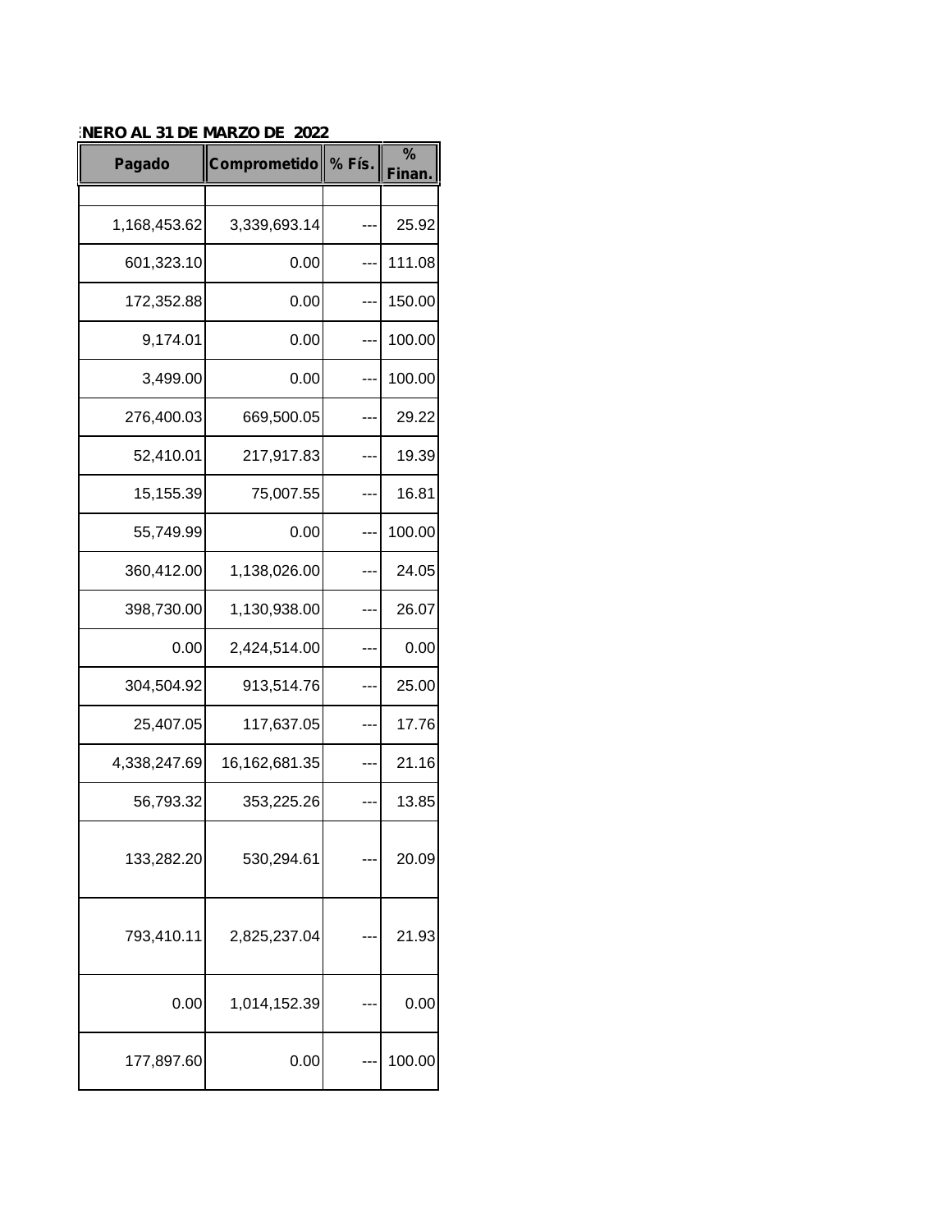| Pagado       | Comprometido % Fís. |     | $\%$<br><b>Finan</b> |
|--------------|---------------------|-----|----------------------|
|              |                     |     |                      |
| 1,168,453.62 | 3,339,693.14        |     | 25.92                |
| 601,323.10   | 0.00                |     | 111.08               |
| 172,352.88   | 0.00                |     | 150.00               |
| 9,174.01     | 0.00                |     | 100.00               |
| 3,499.00     | 0.00                |     | 100.00               |
| 276,400.03   | 669,500.05          |     | 29.22                |
| 52,410.01    | 217,917.83          |     | 19.39                |
| 15,155.39    | 75,007.55           |     | 16.81                |
| 55,749.99    | 0.00                | --- | 100.00               |
| 360,412.00   | 1,138,026.00        |     | 24.05                |
| 398,730.00   | 1,130,938.00        |     | 26.07                |
| 0.00         | 2,424,514.00        |     | 0.00                 |
| 304,504.92   | 913,514.76          |     | 25.00                |
| 25,407.05    | 117,637.05          |     | 17.76                |
| 4,338,247.69 | 16,162,681.35       |     | 21.16                |
| 56,793.32    | 353,225.26          |     | 13.85                |
| 133,282.20   | 530,294.61          |     | 20.09                |
| 793,410.11   | 2,825,237.04        |     | 21.93                |
| 0.00         | 1,014,152.39        |     | 0.00                 |
| 177,897.60   | 0.00                |     | 100.00               |

*LISTADO DE OBRAS Y PROYECTOS DEL PROGRAMA FAFM (EJERCICIO 2022) DEL 01 DE ENERO AL 31 DE MARZO DE 2022*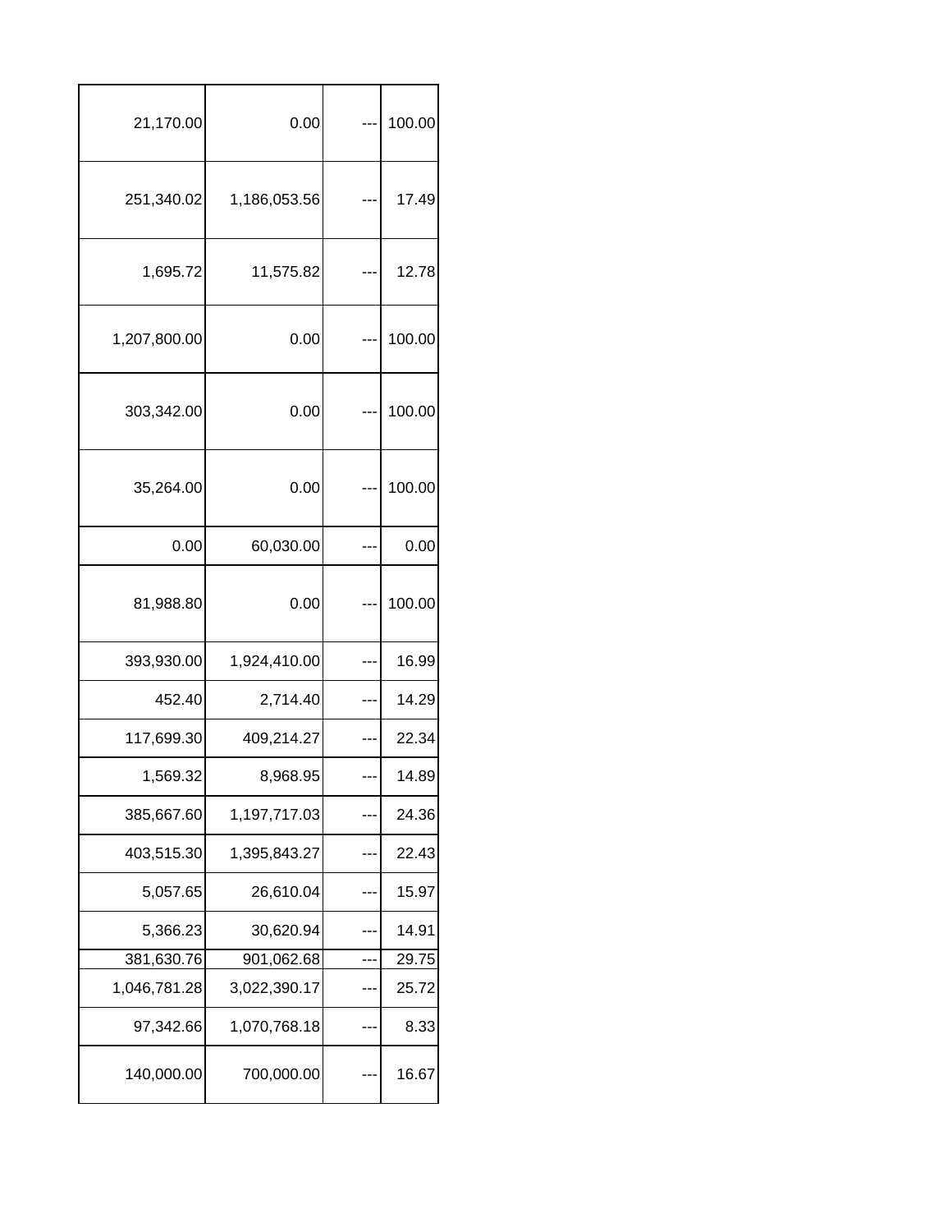| 21,170.00    | 0.00         |     | 100.00 |  |
|--------------|--------------|-----|--------|--|
| 251,340.02   | 1,186,053.56 |     | 17.49  |  |
| 1,695.72     | 11,575.82    |     | 12.78  |  |
| 1,207,800.00 | 0.00         |     | 100.00 |  |
| 303,342.00   | 0.00         |     | 100.00 |  |
| 35,264.00    | 0.00         |     | 100.00 |  |
| 0.00         | 60,030.00    |     | 0.00   |  |
| 81,988.80    | 0.00         |     | 100.00 |  |
| 393,930.00   | 1,924,410.00 | --- | 16.99  |  |
| 452.40       | 2,714.40     |     | 14.29  |  |
| 117,699.30   | 409,214.27   |     | 22.34  |  |
| 1,569.32     | 8,968.95     | --- | 14.89  |  |
| 385,667.60   | 1,197,717.03 |     | 24.36  |  |
| 403,515.30   | 1,395,843.27 |     | 22.43  |  |
| 5,057.65     | 26,610.04    |     | 15.97  |  |
| 5,366.23     | 30,620.94    |     | 14.91  |  |
| 381,630.76   | 901,062.68   |     | 29.75  |  |
| 1,046,781.28 | 3,022,390.17 | --- | 25.72  |  |
| 97,342.66    | 1,070,768.18 |     | 8.33   |  |
| 140,000.00   | 700,000.00   |     | 16.67  |  |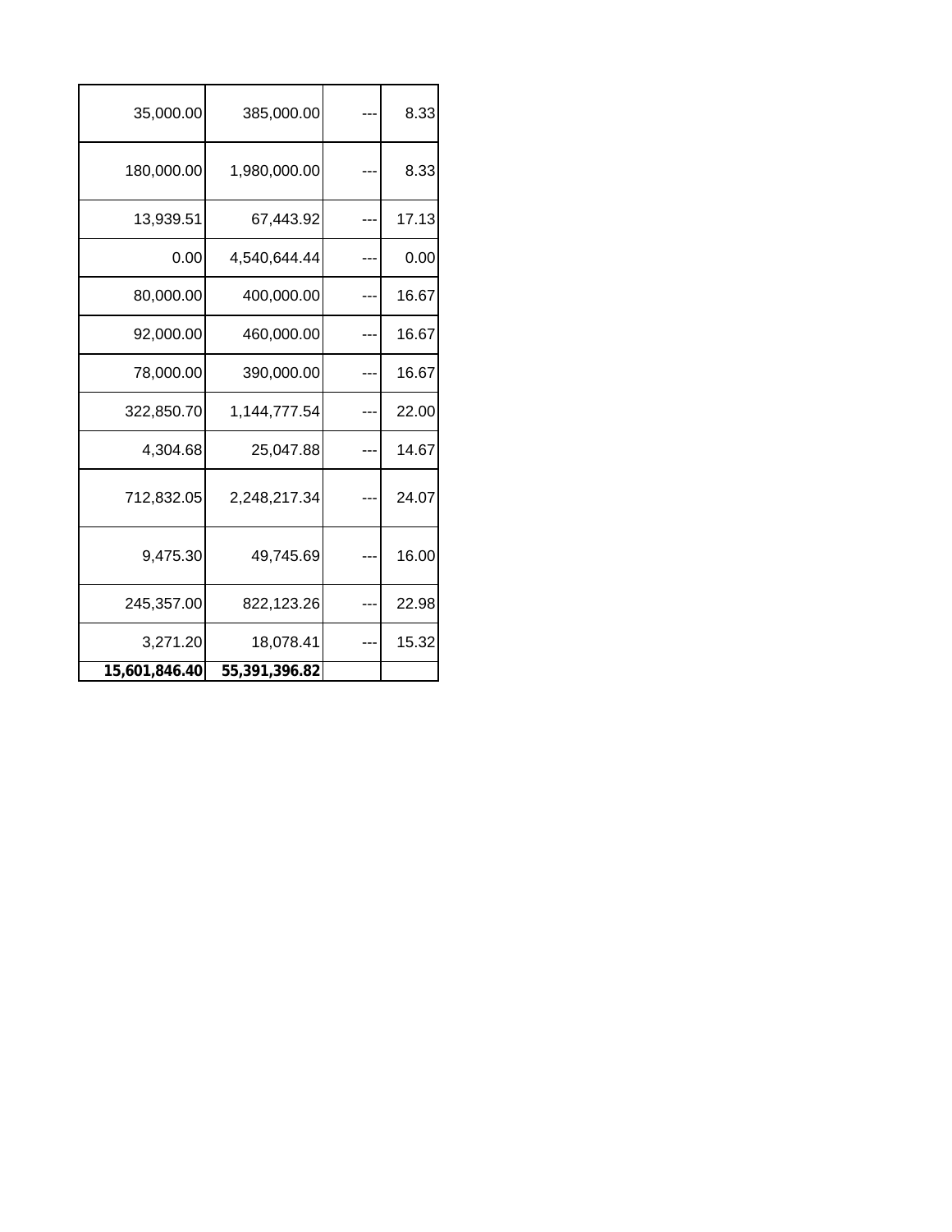| 35,000.00     | 385,000.00    | 8.33  |
|---------------|---------------|-------|
| 180,000.00    | 1,980,000.00  | 8.33  |
| 13,939.51     | 67,443.92     | 17.13 |
| 0.00          | 4,540,644.44  | 0.00  |
| 80,000.00     | 400,000.00    | 16.67 |
| 92,000.00     | 460,000.00    | 16.67 |
| 78,000.00     | 390,000.00    | 16.67 |
| 322,850.70    | 1,144,777.54  | 22.00 |
| 4,304.68      | 25,047.88     | 14.67 |
| 712,832.05    | 2,248,217.34  | 24.07 |
| 9,475.30      | 49,745.69     | 16.00 |
| 245,357.00    | 822,123.26    | 22.98 |
| 3,271.20      | 18,078.41     | 15.32 |
| 15,601,846.40 | 55,391,396.82 |       |